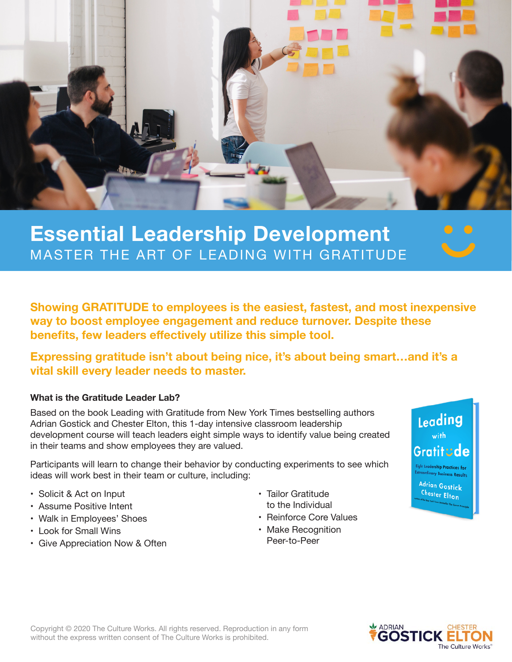

## **Essential Leadership Development** MASTER THE ART OF LEADING WITH GRATITUDE

**Showing GRATITUDE to employees is the easiest, fastest, and most inexpensive way to boost employee engagement and reduce turnover. Despite these benefits, few leaders effectively utilize this simple tool.**

**Expressing gratitude isn't about being nice, it's about being smart…and it's a vital skill every leader needs to master.**

## **What is the Gratitude Leader Lab?**

Based on the book Leading with Gratitude from New York Times bestselling authors Adrian Gostick and Chester Elton, this 1-day intensive classroom leadership development course will teach leaders eight simple ways to identify value being created in their teams and show employees they are valued.

Participants will learn to change their behavior by conducting experiments to see which ideas will work best in their team or culture, including:

- Solicit & Act on Input
- Assume Positive Intent
- Walk in Employees' Shoes
- Look for Small Wins
- Give Appreciation Now & Often
- Tailor Gratitude to the Individual
- Reinforce Core Values
- Make Recognition Peer-to-Peer